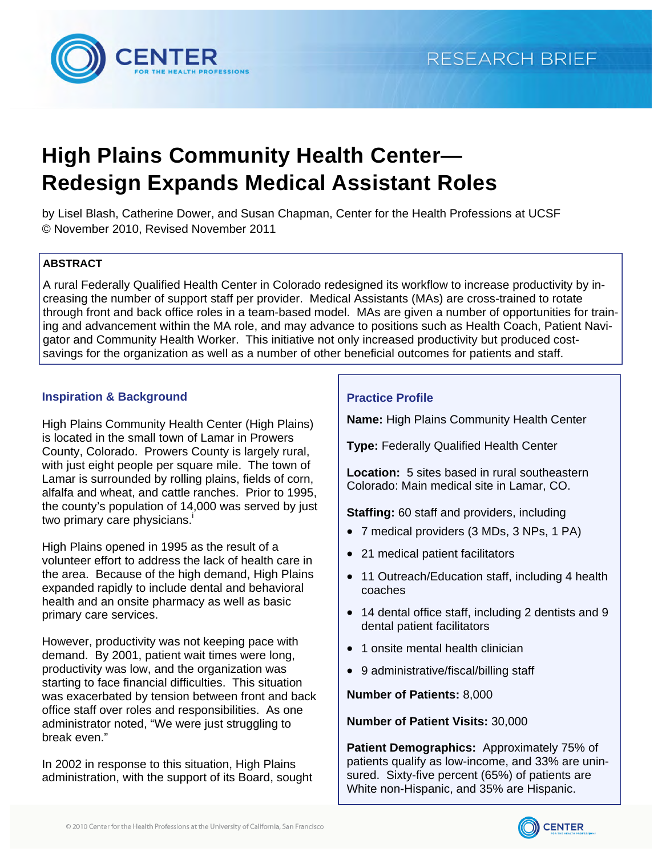

# **High Plains Community Health Center— Redesign Expands Medical Assistant Roles**

by Lisel Blash, Catherine Dower, and Susan Chapman, Center for the Health Professions at UCSF © November 2010, Revised November 2011

## **ABSTRACT**

A rural Federally Qualified Health Center in Colorado redesigned its workflow to increase productivity by increasing the number of support staff per provider. Medical Assistants (MAs) are cross-trained to rotate through front and back office roles in a team-based model. MAs are given a number of opportunities for training and advancement within the MA role, and may advance to positions such as Health Coach, Patient Navigator and Community Health Worker. This initiative not only increased productivity but produced costsavings for the organization as well as a number of other beneficial outcomes for patients and staff.

## **Inspiration & Background**

[High Plains Community Health Center \(](http://www.highplainschc.net/)High Plains) is located in the small town of Lamar in Prowers County, Colorado. Prowers County is largely rural, with just eight people per square mile. The town of Lamar is surrounded by rolling plains, fields of corn, alfalfa and wheat, and cattle ranches. Prior to 1995, the county's population of 14,000 was served by just two primary care physicians[.](#page-8-0)<sup>1</sup>

High Plains opened in 1995 as the result of a volunteer effort to address the lack of health care in the area. Because of the high demand, High Plains expanded rapidly to include dental and behavioral health and an onsite pharmacy as well as basic primary care services.

However, productivity was not keeping pace with demand. By 2001, patient wait times were long, productivity was low, and the organization was starting to face financial difficulties. This situation was exacerbated by tension between front and back office staff over roles and responsibilities. As one administrator noted, "We were just struggling to break even."

In 2002 in response to this situation, High Plains administration, with the support of its Board, sought

## **Practice Profile**

**Name:** [High Plains Community Health Center](http://www.highplainschc.net/) 

**Type:** Federally Qualified Health Center

**Location:** 5 sites based in rural southeastern Colorado: Main medical site in Lamar, CO.

**Staffing:** 60 staff and providers, including

- 7 medical providers (3 MDs, 3 NPs, 1 PA)
- 21 medical patient facilitators
- 11 Outreach/Education staff, including 4 health coaches
- 14 dental office staff, including 2 dentists and 9 dental patient facilitators
- 1 onsite mental health clinician
- 9 administrative/fiscal/billing staff

**Number of Patients:** 8,000

### **Number of Patient Visits:** 30,000

**Patient Demographics:** Approximately 75% of patients qualify as low-income, and 33% are uninsured. Sixty-five percent (65%) of patients are White non-Hispanic, and 35% are Hispanic.

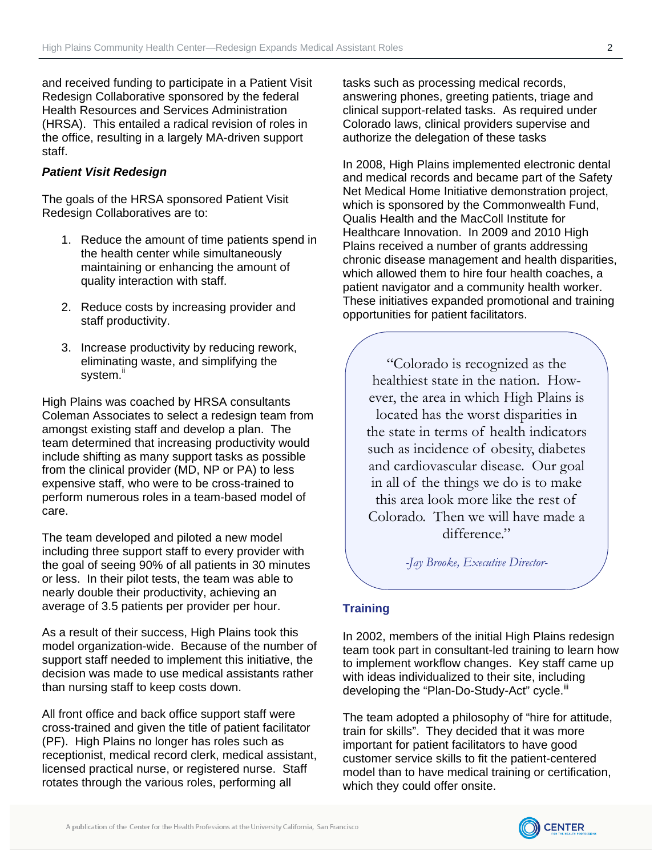and received funding to participate in a Patient Visit Redesign Collaborative sponsored by the federal Health Resources and Services Administration (HRSA). This entailed a radical revision of roles in the office, resulting in a largely MA-driven support staff.

## *Patient Visit Redesign*

The goals of the HRSA sponsored Patient Visit Redesign Collaboratives are to:

- 1. Reduce the amount of time patients spend in the health center while simultaneously maintaining or enhancing the amount of quality interaction with staff.
- 2. Reduce costs by increasing provider and staff productivity.
- 3. Increase productivity by reducing rework, eliminating waste, and simplifying the system.<sup>ii</sup>

High Plains was coached by HRSA consultants Coleman Associates to select a redesign team from amongst existing staff and develop a plan. The team determined that increasing productivity would include shifting as many support tasks as possible from the clinical provider (MD, NP or PA) to less expensive staff, who were to be cross-trained to perform numerous roles in a team-based model of care.

The team developed and piloted a new model including three support staff to every provider with the goal of seeing 90% of all patients in 30 minutes or less. In their pilot tests, the team was able to nearly double their productivity, achieving an average of 3.5 patients per provider per hour.

As a result of their success, High Plains took this model organization-wide. Because of the number of support staff needed to implement this initiative, the decision was made to use medical assistants rather than nursing staff to keep costs down.

All front office and back office support staff were cross-trained and given the title of patient facilitator (PF). High Plains no longer has roles such as receptionist, medical record clerk, medical assistant, licensed practical nurse, or registered nurse. Staff rotates through the various roles, performing all

tasks such as processing medical records, answering phones, greeting patients, triage and clinical support-related tasks. As required under Colorado laws, clinical providers supervise and authorize the delegation of these tasks

In 2008, High Plains implemented electronic dental and medical records and became part of the Safety Net Medical Home Initiative demonstration project, which is sponsored by the Commonwealth Fund, Qualis Health and the MacColl Institute for Healthcare Innovation. In 2009 and 2010 High Plains received a number of grants addressing chronic disease management and health disparities, which allowed them to hire four health coaches, a patient navigator and a community health worker. These initiatives expanded promotional and training opportunities for patient facilitators.

"Colorado is recognized as the healthiest state in the nation. However, the area in which High Plains is located has the worst disparities in the state in terms of health indicators such as incidence of obesity, diabetes and cardiovascular disease. Our goal in all of the things we do is to make this area look more like the rest of Colorado. Then we will have made a difference."

*-Jay Brooke, Executive Director-* 

### **Training**

In 2002, members of the initial High Plains redesign team took part in consultant-led training to learn how to implement workflow changes. Key staff came up with ideas individualized to their site, including developing the "Plan-Do-Study-Act" cycle.<sup>[iii](#page-8-0)</sup>

The team adopted a philosophy of "hire for attitude, train for skills". They decided that it was more important for patient facilitators to have good customer service skills to fit the patient-centered model than to have medical training or certification, which they could offer onsite.

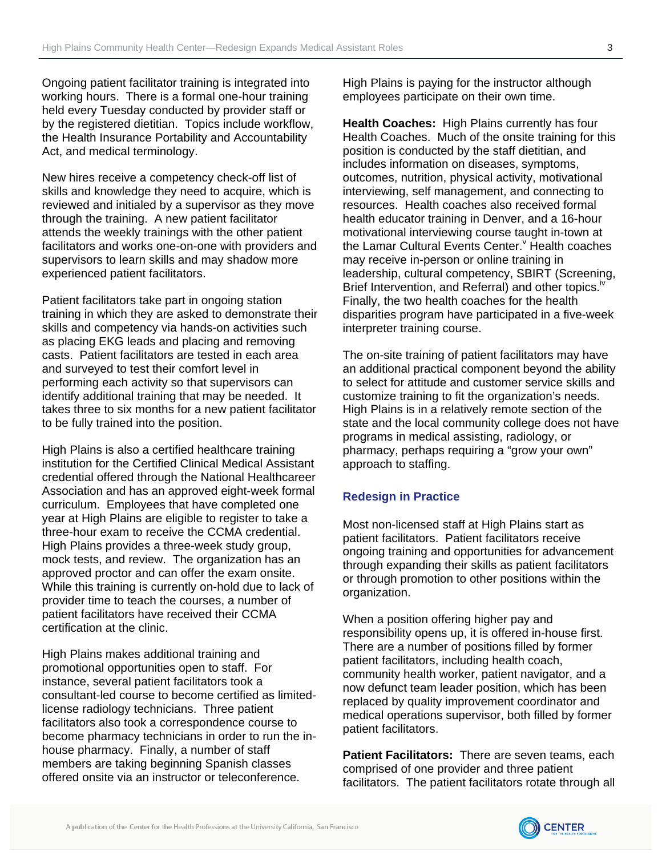Ongoing patient facilitator training is integrated into working hours. There is a formal one-hour training held every Tuesday conducted by provider staff or by the registered dietitian. Topics include workflow, the Health Insurance Portability and Accountability Act, and medical terminology.

New hires receive a competency check-off list of skills and knowledge they need to acquire, which is reviewed and initialed by a supervisor as they move through the training. A new patient facilitator attends the weekly trainings with the other patient facilitators and works one-on-one with providers and supervisors to learn skills and may shadow more experienced patient facilitators.

Patient facilitators take part in ongoing station training in which they are asked to demonstrate their skills and competency via hands-on activities such as placing EKG leads and placing and removing casts. Patient facilitators are tested in each area and surveyed to test their comfort level in performing each activity so that supervisors can identify additional training that may be needed. It takes three to six months for a new patient facilitator to be fully trained into the position.

High Plains is also a certified healthcare training institution for the Certified Clinical Medical Assistant credential offered through the [National Healthcareer](http://www.nhanow.com/home.aspx) [Association](http://www.nhanow.com/home.aspx) and has an approved eight-week formal curriculum. Employees that have completed one year at High Plains are eligible to register to take a three-hour exam to receive the [CCMA credential.](http://www.nhanow.com/clinical-medical-assistant.aspx) High Plains provides a three-week study group, mock tests, and review. The organization has an approved proctor and can offer the exam onsite. While this training is currently on-hold due to lack of provider time to teach the courses, a number of patient facilitators have received their [CCMA](http://www.nhanow.com/clinical-medical-assistant.aspx)  certification at the clinic.

High Plains makes additional training and promotional opportunities open to staff. For instance, several patient facilitators took a consultant-led course to become certified as limitedlicense radiology technicians. Three patient facilitators also took a correspondence course to become pharmacy technicians in order to run the inhouse pharmacy. Finally, a number of staff members are taking beginning Spanish classes offered onsite via an instructor or teleconference.

High Plains is paying for the instructor although employees participate on their own time.

**Health Coaches:** High Plains currently has four Health Coaches. Much of the onsite training for this position is conducted by the staff dietitian, and includes information on diseases, symptoms, outcomes, nutrition, physical activity, motivational interviewing, self management, and connecting to resources. Health coaches also received formal health educator training in Denver, and a 16-hour motivational interviewing course taught in-town at the Lamar Cultural Events Center. Health coaches may receive in-person or online training in leadership, cultural competency, SBIRT (Screening, Brief Intervention, and Referral) and other topics.<sup>17</sup> Finally, the two health coaches for the health disparities program have participated in a five-week interpreter training course.

The on-site training of patient facilitators may have an additional practical component beyond the ability to select for attitude and customer service skills and customize training to fit the organization's needs. High Plains is in a relatively remote section of the state and the local community college does not have programs in medical assisting, radiology, or pharmacy, perhaps requiring a "grow your own" approach to staffing.

### **Redesign in Practice**

Most non-licensed staff at High Plains start as patient facilitators. Patient facilitators receive ongoing training and opportunities for advancement through expanding their skills as patient facilitators or through promotion to other positions within the organization.

When a position offering higher pay and responsibility opens up, it is offered in-house first. There are a number of positions filled by former patient facilitators, including health coach, community health worker, patient navigator, and a now defunct team leader position, which has been replaced by quality improvement coordinator and medical operations supervisor, both filled by former patient facilitators.

**Patient Facilitators:** There are seven teams, each comprised of one provider and three patient facilitators. The patient facilitators rotate through all

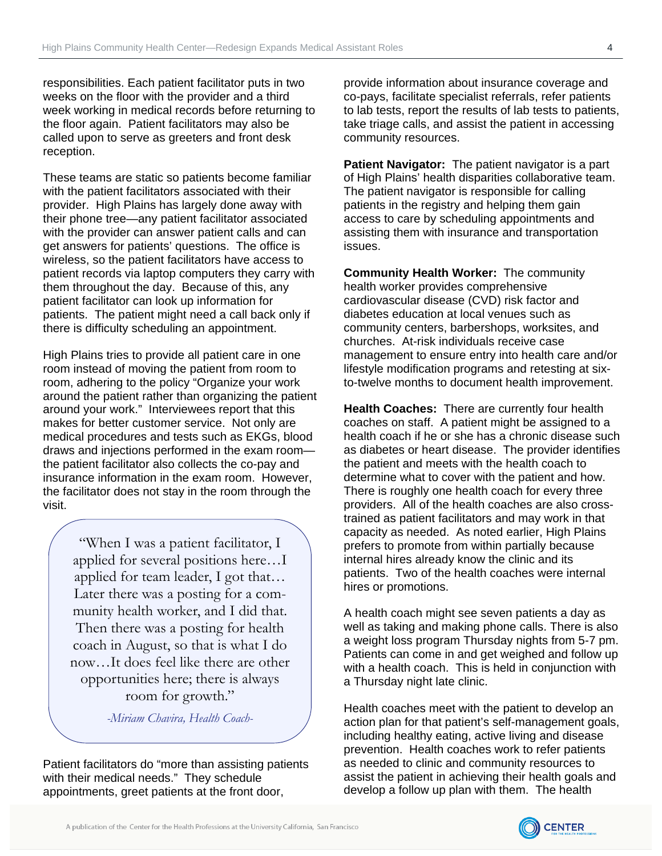responsibilities. Each patient facilitator puts in two weeks on the floor with the provider and a third week working in medical records before returning to the floor again. Patient facilitators may also be called upon to serve as greeters and front desk reception.

These teams are static so patients become familiar with the patient facilitators associated with their provider. High Plains has largely done away with their phone tree—any patient facilitator associated with the provider can answer patient calls and can get answers for patients' questions. The office is wireless, so the patient facilitators have access to patient records via laptop computers they carry with them throughout the day. Because of this, any patient facilitator can look up information for patients. The patient might need a call back only if there is difficulty scheduling an appointment.

High Plains tries to provide all patient care in one room instead of moving the patient from room to room, adhering to the policy "Organize your work around the patient rather than organizing the patient around your work." Interviewees report that this makes for better customer service. Not only are medical procedures and tests such as EKGs, blood draws and injections performed in the exam room the patient facilitator also collects the co-pay and insurance information in the exam room. However, the facilitator does not stay in the room through the visit.

> "When I was a patient facilitator, I applied for several positions here…I applied for team leader, I got that… Later there was a posting for a community health worker, and I did that. Then there was a posting for health coach in August, so that is what I do now…It does feel like there are other opportunities here; there is always room for growth."

> > *-Miriam Chavira, Health Coach-*

Patient facilitators do "more than assisting patients with their medical needs." They schedule appointments, greet patients at the front door,

provide information about insurance coverage and co-pays, facilitate specialist referrals, refer patients to lab tests, report the results of lab tests to patients, take triage calls, and assist the patient in accessing community resources.

**Patient Navigator:** The patient navigator is a part of High Plains' health disparities collaborative team. The patient navigator is responsible for calling patients in the registry and helping them gain access to care by scheduling appointments and assisting them with insurance and transportation issues.

**Community Health Worker:** The community health worker provides comprehensive cardiovascular disease (CVD) risk factor and diabetes education at local venues such as community centers, barbershops, worksites, and churches. At-risk individuals receive case management to ensure entry into health care and/or lifestyle modification programs and retesting at sixto-twelve months to document health improvement.

**Health Coaches:** There are currently four health coaches on staff. A patient might be assigned to a health coach if he or she has a chronic disease such as diabetes or heart disease. The provider identifies the patient and meets with the health coach to determine what to cover with the patient and how. There is roughly one health coach for every three providers. All of the health coaches are also crosstrained as patient facilitators and may work in that capacity as needed. As noted earlier, High Plains prefers to promote from within partially because internal hires already know the clinic and its patients. Two of the health coaches were internal hires or promotions.

A health coach might see seven patients a day as well as taking and making phone calls. There is also a weight loss program Thursday nights from 5-7 pm. Patients can come in and get weighed and follow up with a health coach. This is held in conjunction with a Thursday night late clinic.

Health coaches meet with the patient to develop an action plan for that patient's self-management goals, including healthy eating, active living and disease prevention. Health coaches work to refer patients as needed to clinic and community resources to assist the patient in achieving their health goals and develop a follow up plan with them. The health

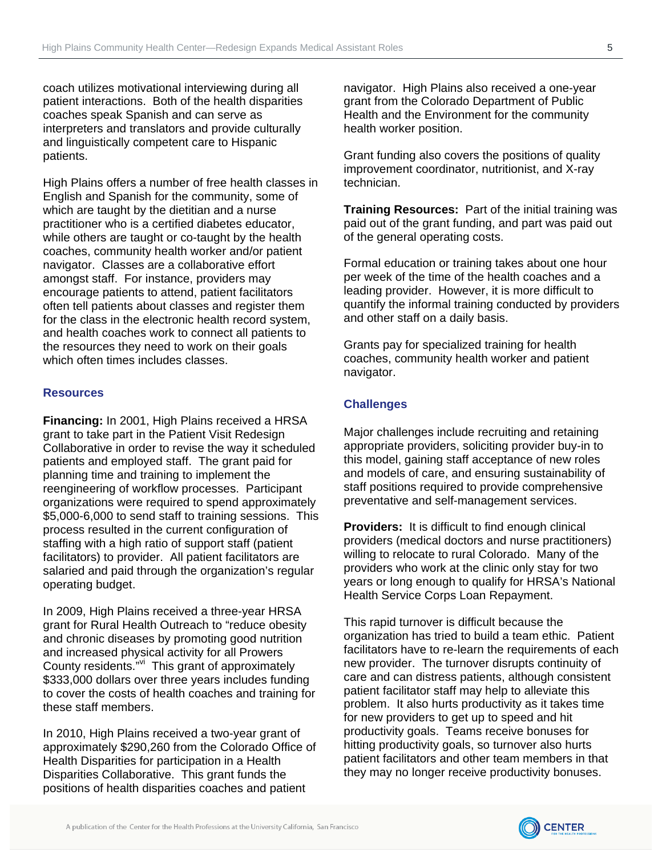coach utilizes motivational interviewing during all patient interactions. Both of the health disparities coaches speak Spanish and can serve as interpreters and translators and provide culturally and linguistically competent care to Hispanic patients.

High Plains offers a number of free health classes in English and Spanish for the community, some of which are taught by the dietitian and a nurse practitioner who is a certified diabetes educator, while others are taught or co-taught by the health coaches, community health worker and/or patient navigator. Classes are a collaborative effort amongst staff. For instance, providers may encourage patients to attend, patient facilitators often tell patients about classes and register them for the class in the electronic health record system, and health coaches work to connect all patients to the resources they need to work on their goals which often times includes classes.

### **Resources**

**Financing:** In 2001, High Plains received a HRSA grant to take part in the Patient Visit Redesign Collaborative in order to revise the way it scheduled patients and employed staff. The grant paid for planning time and training to implement the reengineering of workflow processes. Participant organizations were required to spend approximately \$5,000-6,000 to send staff to training sessions. This process resulted in the current configuration of staffing with a high ratio of support staff (patient facilitators) to provider. All patient facilitators are salaried and paid through the organization's regular operating budget.

In 2009, High Plains received a three-year HRSA grant for Rural Health Outreach to "reduce obesity and chronic diseases by promoting good nutrition and increased physical activity for all Prowers County residents."vi This grant of approximately \$333,000 dollars over three years includes funding to cover the costs of health coaches and training for these staff members.

In 2010, High Plains received a two-year grant of approximately \$290,260 from the Colorado Office of Health Disparities for participation in a Health Disparities Collaborative. This grant funds the positions of health disparities coaches and patient

navigator. High Plains also received a one-year grant from the Colorado Department of Public Health and the Environment for the community health worker position.

Grant funding also covers the positions of quality improvement coordinator, nutritionist, and X-ray technician.

**Training Resources:** Part of the initial training was paid out of the grant funding, and part was paid out of the general operating costs.

Formal education or training takes about one hour per week of the time of the health coaches and a leading provider. However, it is more difficult to quantify the informal training conducted by providers and other staff on a daily basis.

Grants pay for specialized training for health coaches, community health worker and patient navigator.

### **Challenges**

Major challenges include recruiting and retaining appropriate providers, soliciting provider buy-in to this model, gaining staff acceptance of new roles and models of care, and ensuring sustainability of staff positions required to provide comprehensive preventative and self-management services.

**Providers:** It is difficult to find enough clinical providers (medical doctors and nurse practitioners) willing to relocate to rural Colorado. Many of the providers who work at the clinic only stay for two years or long enough to qualify for HRSA's National Health Service Corps Loan Repayment.

This rapid turnover is difficult because the organization has tried to build a team ethic. Patient facilitators have to re-learn the requirements of each new provider. The turnover disrupts continuity of care and can distress patients, although consistent patient facilitator staff may help to alleviate this problem. It also hurts productivity as it takes time for new providers to get up to speed and hit productivity goals. Teams receive bonuses for hitting productivity goals, so turnover also hurts patient facilitators and other team members in that they may no longer receive productivity bonuses.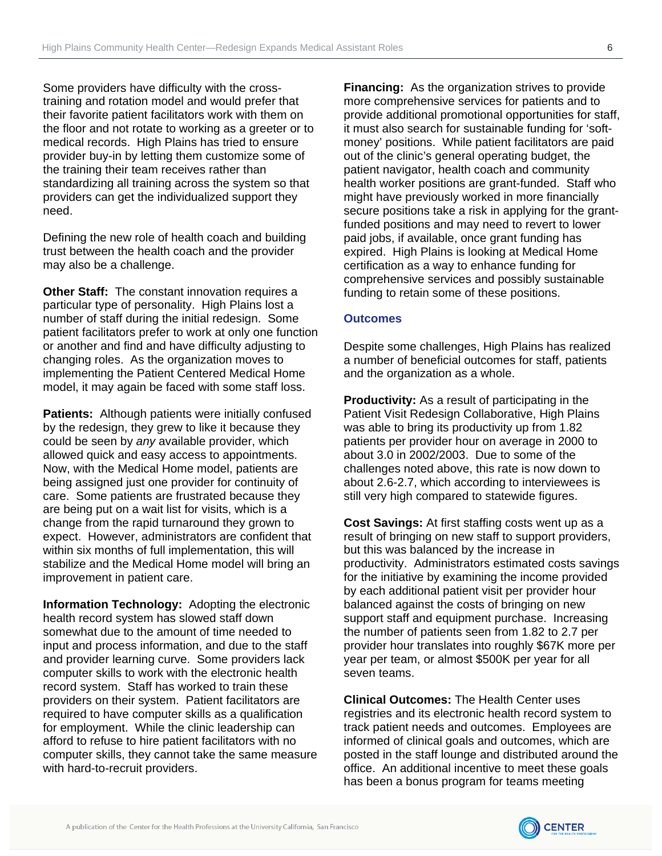Some providers have difficulty with the crosstraining and rotation model and would prefer that their favorite patient facilitators work with them on the floor and not rotate to working as a greeter or to medical records. High Plains has tried to ensure provider buy-in by letting them customize some of the training their team receives rather than standardizing all training across the system so that providers can get the individualized support they need.

Defining the new role of health coach and building trust between the health coach and the provider may also be a challenge.

**Other Staff:** The constant innovation requires a particular type of personality. High Plains lost a number of staff during the initial redesign. Some patient facilitators prefer to work at only one function or another and find and have difficulty adjusting to changing roles. As the organization moves to implementing the Patient Centered Medical Home model, it may again be faced with some staff loss.

**Patients:** Although patients were initially confused by the redesign, they grew to like it because they could be seen by *any* available provider, which allowed quick and easy access to appointments. Now, with the Medical Home model, patients are being assigned just one provider for continuity of care. Some patients are frustrated because they are being put on a wait list for visits, which is a change from the rapid turnaround they grown to expect. However, administrators are confident that within six months of full implementation, this will stabilize and the Medical Home model will bring an improvement in patient care.

**Information Technology:** Adopting the electronic health record system has slowed staff down somewhat due to the amount of time needed to input and process information, and due to the staff and provider learning curve. Some providers lack computer skills to work with the electronic health record system. Staff has worked to train these providers on their system. Patient facilitators are required to have computer skills as a qualification for employment. While the clinic leadership can afford to refuse to hire patient facilitators with no computer skills, they cannot take the same measure with hard-to-recruit providers.

**Financing:** As the organization strives to provide more comprehensive services for patients and to provide additional promotional opportunities for staff, it must also search for sustainable funding for 'softmoney' positions. While patient facilitators are paid out of the clinic's general operating budget, the patient navigator, health coach and community health worker positions are grant-funded. Staff who might have previously worked in more financially secure positions take a risk in applying for the grantfunded positions and may need to revert to lower paid jobs, if available, once grant funding has expired. High Plains is looking at Medical Home certification as a way to enhance funding for comprehensive services and possibly sustainable funding to retain some of these positions.

#### **Outcomes**

Despite some challenges, High Plains has realized a number of beneficial outcomes for staff, patients and the organization as a whole.

**Productivity:** As a result of participating in the Patient Visit Redesign Collaborative, High Plains was able to bring its productivity up from 1.82 patients per provider hour on average in 2000 to about 3.0 in 2002/2003. Due to some of the challenges noted above, this rate is now down to about 2.6-2.7, which according to interviewees is still very high compared to statewide figures.

**Cost Savings:** At first staffing costs went up as a result of bringing on new staff to support providers, but this was balanced by the increase in productivity. Administrators estimated costs savings for the initiative by examining the income provided by each additional patient visit per provider hour balanced against the costs of bringing on new support staff and equipment purchase. Increasing the number of patients seen from 1.82 to 2.7 per provider hour translates into roughly \$67K more per year per team, or almost \$500K per year for all seven teams.

**Clinical Outcomes:** The Health Center uses registries and its electronic health record system to track patient needs and outcomes. Employees are informed of clinical goals and outcomes, which are posted in the staff lounge and distributed around the office. An additional incentive to meet these goals has been a bonus program for teams meeting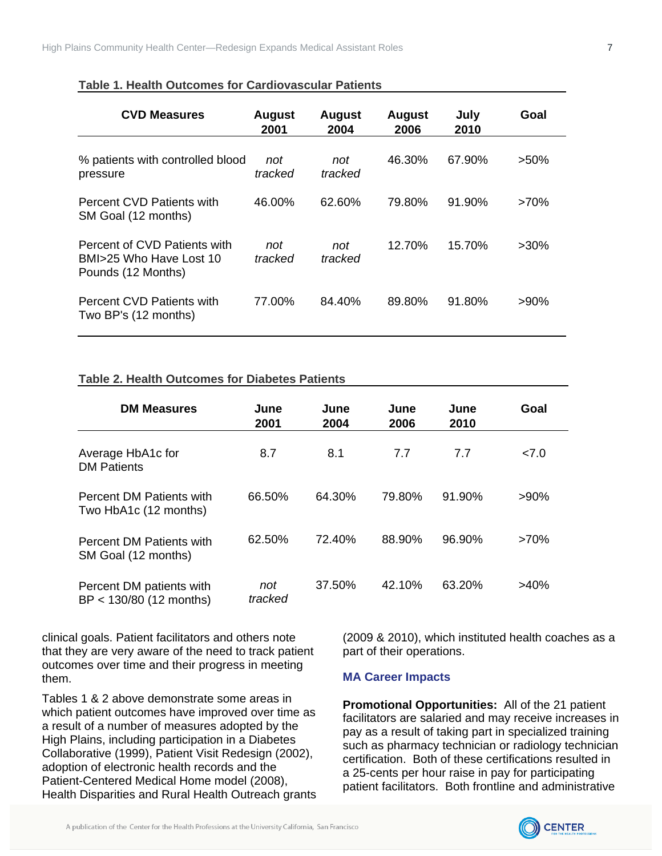| <b>CVD Measures</b>                                                           | <b>August</b><br>2001 | <b>August</b><br>2004 | <b>August</b><br>2006 | July<br>2010 | Goal    |
|-------------------------------------------------------------------------------|-----------------------|-----------------------|-----------------------|--------------|---------|
| % patients with controlled blood<br>pressure                                  | not<br>tracked        | not<br>tracked        | 46.30%                | 67.90%       | $>50\%$ |
| Percent CVD Patients with<br>SM Goal (12 months)                              | 46.00%                | 62.60%                | 79.80%                | 91.90%       | $>70\%$ |
| Percent of CVD Patients with<br>BMI>25 Who Have Lost 10<br>Pounds (12 Months) | not<br>tracked        | not<br>tracked        | 12.70%                | 15.70%       | $>30\%$ |
| Percent CVD Patients with<br>Two BP's (12 months)                             | 77.00%                | 84.40%                | 89.80%                | 91.80%       | $>90\%$ |

### **Table 1. Health Outcomes for Cardiovascular Patients**

### **Table 2. Health Outcomes for Diabetes Patients**

| <b>DM Measures</b>                                       | June<br>2001   | June<br>2004 | June<br>2006 | June<br>2010 | Goal    |  |
|----------------------------------------------------------|----------------|--------------|--------------|--------------|---------|--|
| Average HbA1c for<br><b>DM Patients</b>                  | 8.7            | 8.1          | 7.7          | 7.7          | 27.0    |  |
| <b>Percent DM Patients with</b><br>Two HbA1c (12 months) | 66.50%         | 64.30%       | 79.80%       | 91.90%       | $>90\%$ |  |
| <b>Percent DM Patients with</b><br>SM Goal (12 months)   | 62.50%         | 72.40%       | 88.90%       | 96.90%       | $>70\%$ |  |
| Percent DM patients with<br>BP < 130/80 (12 months)      | not<br>tracked | 37.50%       | 42.10%       | 63.20%       | >40%    |  |

clinical goals. Patient facilitators and others note that they are very aware of the need to track patient outcomes over time and their progress in meeting them.

Tables 1 & 2 above demonstrate some areas in which patient outcomes have improved over time as a result of a number of measures adopted by the High Plains, including participation in a Diabetes Collaborative (1999), Patient Visit Redesign (2002), adoption of electronic health records and the Patient-Centered Medical Home model (2008), Health Disparities and Rural Health Outreach grants

(2009 & 2010), which instituted health coaches as a part of their operations.

### **MA Career Impacts**

**Promotional Opportunities:** All of the 21 patient facilitators are salaried and may receive increases in pay as a result of taking part in specialized training such as pharmacy technician or radiology technician certification. Both of these certifications resulted in a 25-cents per hour raise in pay for participating patient facilitators. Both frontline and administrative

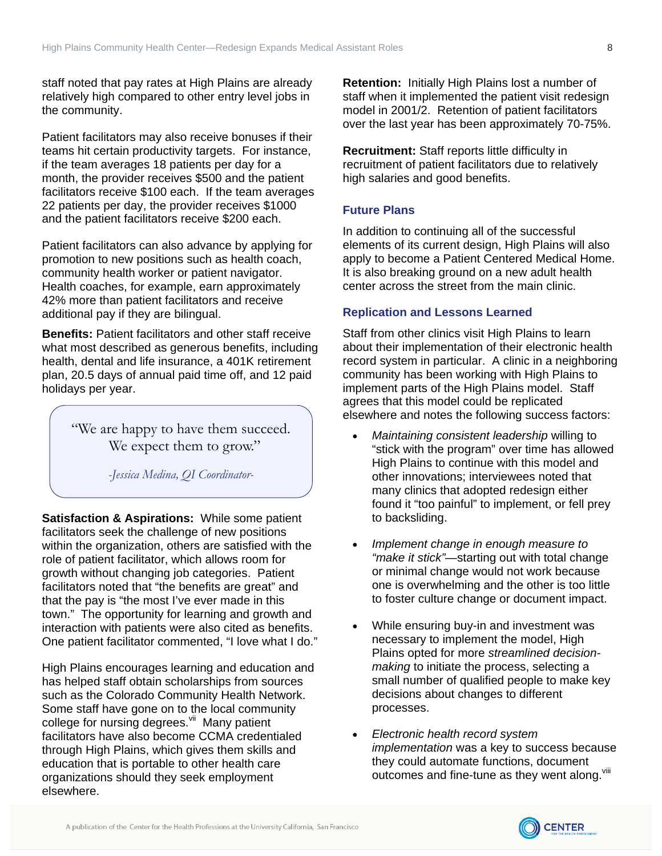staff noted that pay rates at High Plains are already relatively high compared to other entry level jobs in the community.

Patient facilitators may also receive bonuses if their teams hit certain productivity targets. For instance, if the team averages 18 patients per day for a month, the provider receives \$500 and the patient facilitators receive \$100 each. If the team averages 22 patients per day, the provider receives \$1000 and the patient facilitators receive \$200 each.

Patient facilitators can also advance by applying for promotion to new positions such as health coach, community health worker or patient navigator. Health coaches, for example, earn approximately 42% more than patient facilitators and receive additional pay if they are bilingual.

**Benefits:** Patient facilitators and other staff receive what most described as generous benefits, including health, dental and life insurance, a 401K retirement plan, 20.5 days of annual paid time off, and 12 paid holidays per year.

> "We are happy to have them succeed. We expect them to grow."

> > *-Jessica Medina, QI Coordinator-*

**Satisfaction & Aspirations:** While some patient facilitators seek the challenge of new positions within the organization, others are satisfied with the role of patient facilitator, which allows room for growth without changing job categories. Patient facilitators noted that "the benefits are great" and that the pay is "the most I've ever made in this town." The opportunity for learning and growth and interaction with patients were also cited as benefits. One patient facilitator commented, "I love what I do."

High Plains encourages learning and education and has helped staff obtain scholarships from sources such as the Colorado Community Health Network. Some staff have gone on to the local community college for nursing degrees.<sup>vii</sup> Many patient facilitators have also become CCMA credentialed through High Plains, which gives them skills and education that is portable to other health care organizations should they seek employment elsewhere.

**Retention:** Initially High Plains lost a number of staff when it implemented the patient visit redesign model in 2001/2. Retention of patient facilitators over the last year has been approximately 70-75%.

**Recruitment:** Staff reports little difficulty in recruitment of patient facilitators due to relatively high salaries and good benefits.

## **Future Plans**

In addition to continuing all of the successful elements of its current design, High Plains will also apply to become a Patient Centered Medical Home. It is also breaking ground on a new adult health center across the street from the main clinic.

### **Replication and Lessons Learned**

Staff from other clinics visit High Plains to learn about their implementation of their electronic health record system in particular. A clinic in a neighboring community has been working with High Plains to implement parts of the High Plains model. Staff agrees that this model could be replicated elsewhere and notes the following success factors:

- *Maintaining consistent leadership* willing to "stick with the program" over time has allowed High Plains to continue with this model and other innovations; interviewees noted that many clinics that adopted redesign either found it "too painful" to implement, or fell prey to backsliding.
- *Implement change in enough measure to "make it stick"*—starting out with total change or minimal change would not work because one is overwhelming and the other is too little to foster culture change or document impact.
- While ensuring buy-in and investment was necessary to implement the model, High Plains opted for more *streamlined decisionmaking* to initiate the process, selecting a small number of qualified people to make key decisions about changes to different processes.
- *Electronic health record system implementation* was a key to success because they could automate functions, document outcomes and fine-tune as they went along. Viii

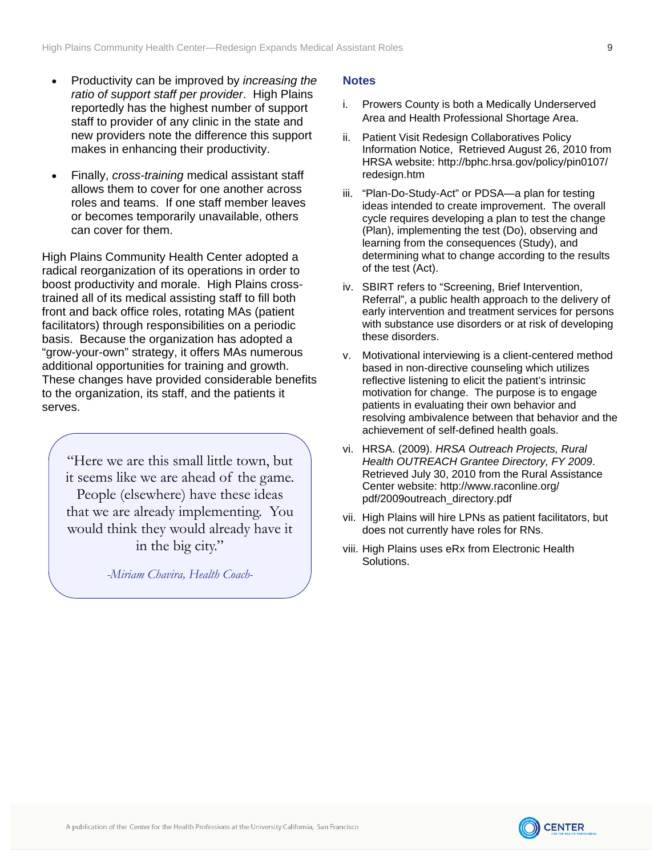- <span id="page-8-0"></span> Productivity can be improved by *increasing the ratio of support staff per provider*. High Plains reportedly has the highest number of support staff to provider of any clinic in the state and new providers note the difference this support makes in enhancing their productivity.
- Finally, *cross-training* medical assistant staff allows them to cover for one another across roles and teams. If one staff member leaves or becomes temporarily unavailable, others can cover for them.

High Plains Community Health Center adopted a radical reorganization of its operations in order to boost productivity and morale. High Plains crosstrained all of its medical assisting staff to fill both front and back office roles, rotating MAs (patient facilitators) through responsibilities on a periodic basis. Because the organization has adopted a "grow-your-own" strategy, it offers MAs numerous additional opportunities for training and growth. These changes have provided considerable benefits to the organization, its staff, and the patients it serves.

"Here we are this small little town, but it seems like we are ahead of the game. People (elsewhere) have these ideas that we are already implementing. You would think they would already have it in the big city."

*-Miriam Chavira, Health Coach-* 

### **Notes**

- i. Prowers County is both a Medically Underserved Area and Health Professional Shortage Area.
- ii. Patient Visit Redesign Collaboratives Policy Information Notice, Retrieved August 26, 2010 from HRSA website: http://bphc.hrsa.gov/policy/pin0107/ redesign.htm
- iii. "Plan-Do-Study-Act" or PDSA—a plan for testing ideas intended to create improvement. The overall cycle requires developing a plan to test the change (Plan), implementing the test (Do), observing and learning from the consequences (Study), and determining what to change according to the results of the test (Act).
- iv. SBIRT refers to "Screening, Brief Intervention, Referral", a public health approach to the delivery of early intervention and treatment services for persons with substance use disorders or at risk of developing these disorders.
- v. Motivational interviewing is a client-centered method based in non-directive counseling which utilizes reflective listening to elicit the patient's intrinsic motivation for change. The purpose is to engage patients in evaluating their own behavior and resolving ambivalence between that behavior and the achievement of self-defined health goals.
- vi. HRSA. (2009). *HRSA Outreach Projects, Rural Health OUTREACH Grantee Directory, FY 2009*. Retrieved July 30, 2010 from the Rural Assistance Center website: [http://www.raconline.org/](http://www.raconline.org/pdf/2009outreach_directory.pdf) [pdf/2009outreach\\_directory.pdf](http://www.raconline.org/pdf/2009outreach_directory.pdf)
- vii. High Plains will hire LPNs as patient facilitators, but does not currently have roles for RNs.
- viii. High Plains uses eRx from Electronic Health Solutions.

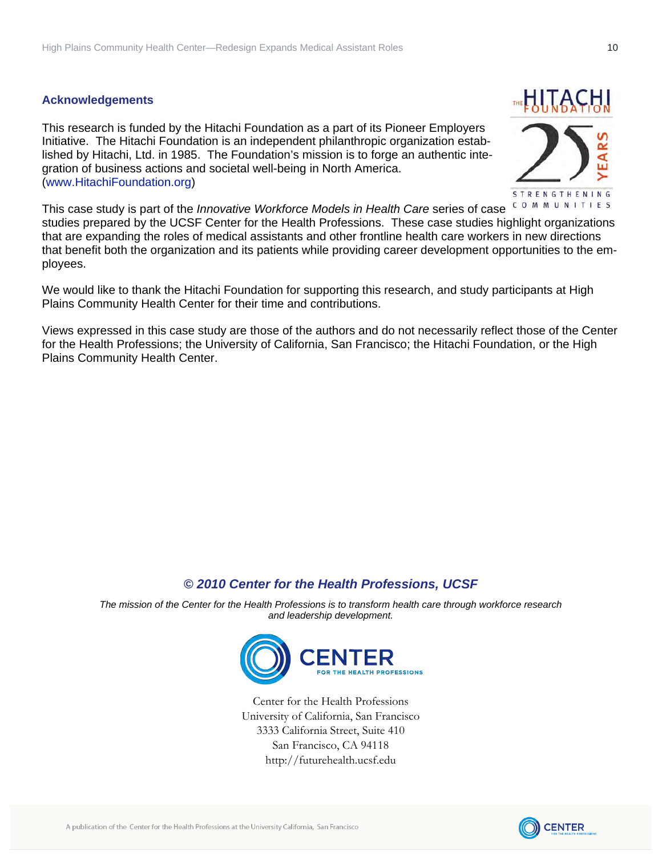### **Acknowledgements**

This research is funded by the Hitachi Foundation as a part of its [Pioneer Employers](http://www.hitachifoundation.org/our-work/business-and-work-grants-program/initiatives/365-the-pioneer-employers-initiative)  [Initiative.](http://www.hitachifoundation.org/our-work/business-and-work-grants-program/initiatives/365-the-pioneer-employers-initiative) The Hitachi Foundation is an independent philanthropic organization established by Hitachi, Ltd. in 1985. The Foundation's mission is to forge an authentic integration of business actions and societal well-being in North America. (www.HitachiFoundation.org)



This case study is part of the *[Innovative Workforce Models in Health Care](http://www.futurehealth.ucsf.edu/Public/Center-Research/Home.aspx?pid=539)* series of case studies prepared by the UCSF Center for the Health Professions. These case studies highlight organizations that are expanding the roles of medical assistants and other frontline health care workers in new directions that benefit both the organization and its patients while providing career development opportunities to the employees.

We would like to thank the Hitachi Foundation for supporting this research, and study participants at [High](http://www.highplainschc.net/)  [Plains Community Health Center](http://www.highplainschc.net/) for their time and contributions.

Views expressed in this case study are those of the authors and do not necessarily reflect those of the Center for the Health Professions; the University of California, San Francisco; the Hitachi Foundation, or the [High](http://www.highplainschc.net/) [Plains Community Health Center.](http://www.highplainschc.net/)

## *© 2010 Center for the Health Professions, UCSF*

*The mission of the Center for the Health Professions is to transform health care through workforce research and leadership development.* 



Center for the Health Professions University of California, San Francisco 3333 California Street, Suite 410 San Francisco, CA 94118 http://futurehealth.ucsf.edu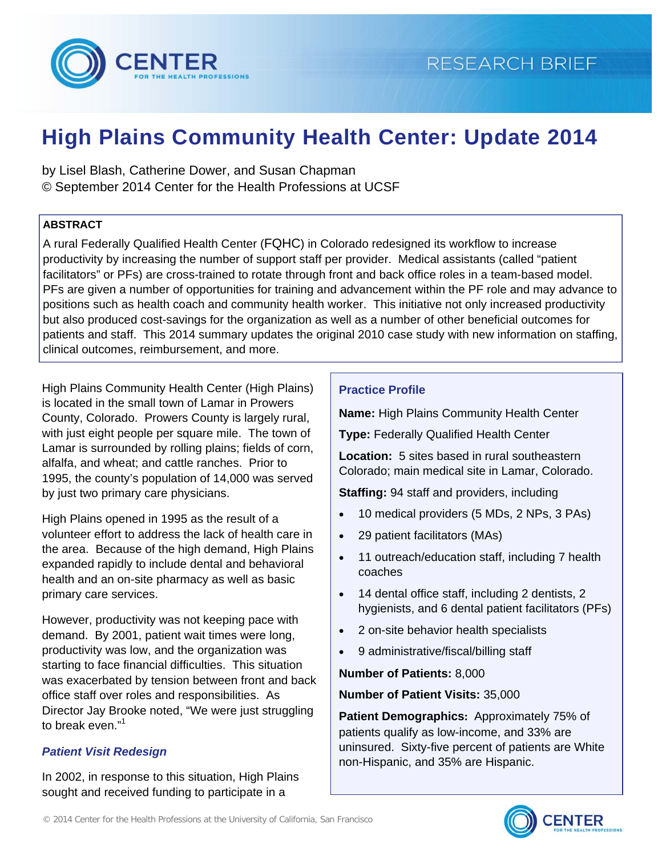

# **High Plains Community Health Center: Update 2014**

by Lisel Blash, Catherine Dower, and Susan Chapman © September 2014 Center for the Health Professions at UCSF

## **ABSTRACT**

A rural Federally Qualified Health Center (FQHC) in Colorado redesigned its workflow to increase productivity by increasing the number of support staff per provider. Medical assistants (called "patient facilitators" or PFs) are cross-trained to rotate through front and back office roles in a team-based model. PFs are given a number of opportunities for training and advancement within the PF role and may advance to positions such as health coach and community health worker. This initiative not only increased productivity but also produced cost-savings for the organization as well as a number of other beneficial outcomes for patients and staff. This 2014 summary updates the original 2010 case study with new information on staffing, clinical outcomes, reimbursement, and more.

High Plains Community Health Center (High Plains) is located in the small town of Lamar in Prowers County, Colorado. Prowers County is largely rural, with just eight people per square mile. The town of Lamar is surrounded by rolling plains; fields of corn, alfalfa, and wheat; and cattle ranches. Prior to 1995, the county's population of 14,000 was served by just two primary care physicians.

High Plains opened in 1995 as the result of a volunteer effort to address the lack of health care in the area. Because of the high demand, High Plains expanded rapidly to include dental and behavioral health and an on-site pharmacy as well as basic primary care services.

However, productivity was not keeping pace with demand. By 2001, patient wait times were long, productivity was low, and the organization was starting to face financial difficulties. This situation was exacerbated by tension between front and back office staff over roles and responsibilities. As Director Jay Brooke noted, "We were just struggling to break even."<sup>1</sup>

# *Patient Visit Redesign*

In 2002, in response to this situation, High Plains sought and received funding to participate in a

## **Practice Profile**

**Name:** High Plains Community Health Center

**Type:** Federally Qualified Health Center

**Location:** 5 sites based in rural southeastern Colorado; main medical site in Lamar, Colorado.

**Staffing:** 94 staff and providers, including

- 10 medical providers (5 MDs, 2 NPs, 3 PAs)
- 29 patient facilitators (MAs)
- 11 outreach/education staff, including 7 health coaches
- 14 dental office staff, including 2 dentists, 2 hygienists, and 6 dental patient facilitators (PFs)
- 2 on-site behavior health specialists
- 9 administrative/fiscal/billing staff

# **Number of Patients:** 8,000

## **Number of Patient Visits:** 35,000

**Patient Demographics:** Approximately 75% of patients qualify as low-income, and 33% are uninsured. Sixty-five percent of patients are White non-Hispanic, and 35% are Hispanic.

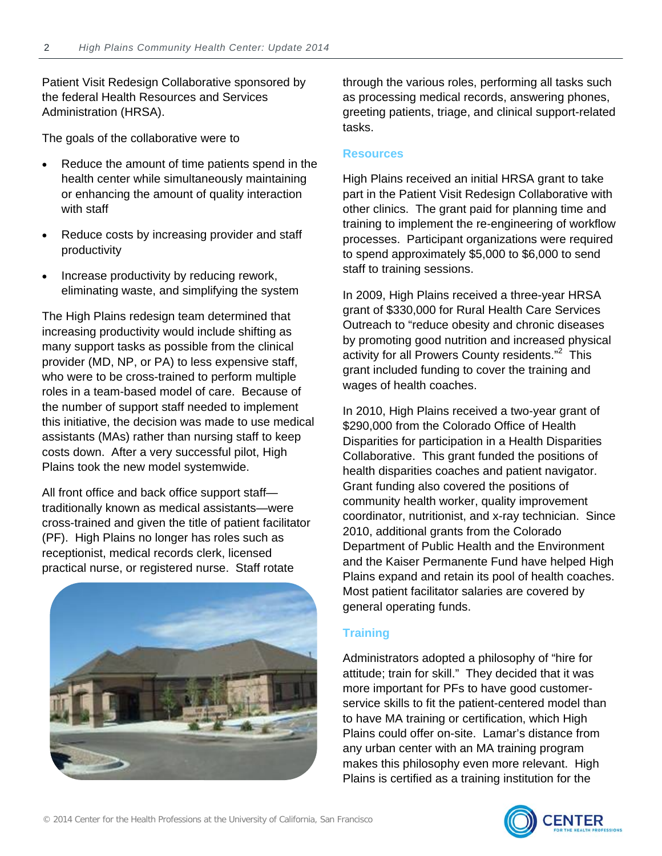Patient Visit Redesign Collaborative sponsored by the federal Health Resources and Services Administration (HRSA).

The goals of the collaborative were to

- Reduce the amount of time patients spend in the health center while simultaneously maintaining or enhancing the amount of quality interaction with staff
- Reduce costs by increasing provider and staff productivity
- Increase productivity by reducing rework, eliminating waste, and simplifying the system

The High Plains redesign team determined that increasing productivity would include shifting as many support tasks as possible from the clinical provider (MD, NP, or PA) to less expensive staff, who were to be cross-trained to perform multiple roles in a team-based model of care. Because of the number of support staff needed to implement this initiative, the decision was made to use medical assistants (MAs) rather than nursing staff to keep costs down. After a very successful pilot, High Plains took the new model systemwide.

All front office and back office support staff traditionally known as medical assistants—were cross-trained and given the title of patient facilitator (PF). High Plains no longer has roles such as receptionist, medical records clerk, licensed practical nurse, or registered nurse. Staff rotate



through the various roles, performing all tasks such as processing medical records, answering phones, greeting patients, triage, and clinical support-related tasks.

### **Resources**

High Plains received an initial HRSA grant to take part in the Patient Visit Redesign Collaborative with other clinics. The grant paid for planning time and training to implement the re-engineering of workflow processes. Participant organizations were required to spend approximately \$5,000 to \$6,000 to send staff to training sessions.

In 2009, High Plains received a three-year HRSA grant of \$330,000 for Rural Health Care Services Outreach to "reduce obesity and chronic diseases by promoting good nutrition and increased physical activity for all Prowers County residents."<sup>2</sup> This grant included funding to cover the training and wages of health coaches.

In 2010, High Plains received a two-year grant of \$290,000 from the Colorado Office of Health Disparities for participation in a Health Disparities Collaborative. This grant funded the positions of health disparities coaches and patient navigator. Grant funding also covered the positions of community health worker, quality improvement coordinator, nutritionist, and x-ray technician. Since 2010, additional grants from the Colorado Department of Public Health and the Environment and the Kaiser Permanente Fund have helped High Plains expand and retain its pool of health coaches. Most patient facilitator salaries are covered by general operating funds.

# **Training**

Administrators adopted a philosophy of "hire for attitude; train for skill." They decided that it was more important for PFs to have good customerservice skills to fit the patient-centered model than to have MA training or certification, which High Plains could offer on-site. Lamar's distance from any urban center with an MA training program makes this philosophy even more relevant. High Plains is certified as a training institution for the



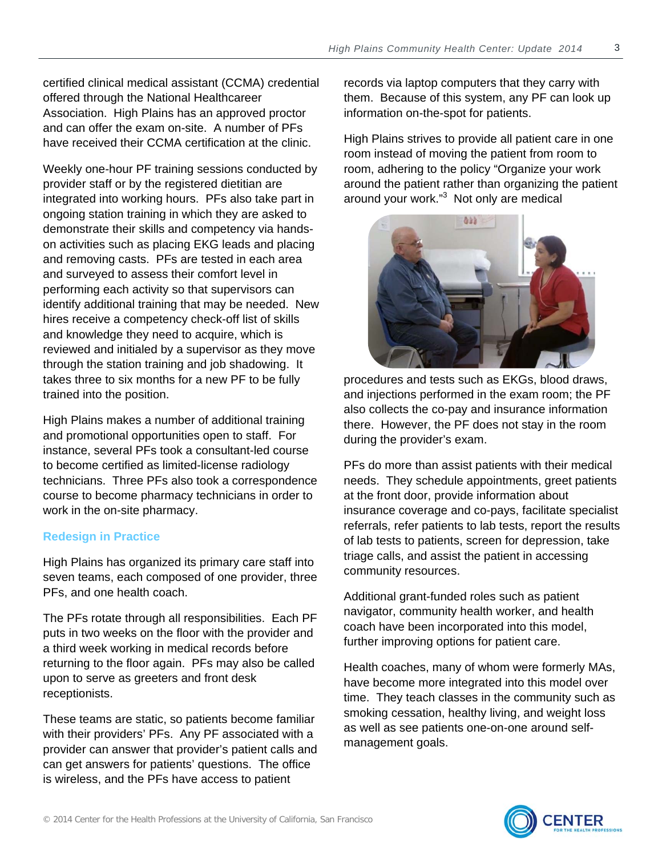certified clinical medical assistant (CCMA) credential offered through the National Healthcareer Association. High Plains has an approved proctor and can offer the exam on-site. A number of PFs have received their CCMA certification at the clinic.

Weekly one-hour PF training sessions conducted by provider staff or by the registered dietitian are integrated into working hours. PFs also take part in ongoing station training in which they are asked to demonstrate their skills and competency via handson activities such as placing EKG leads and placing and removing casts. PFs are tested in each area and surveyed to assess their comfort level in performing each activity so that supervisors can identify additional training that may be needed. New hires receive a competency check-off list of skills and knowledge they need to acquire, which is reviewed and initialed by a supervisor as they move through the station training and job shadowing. It takes three to six months for a new PF to be fully trained into the position.

High Plains makes a number of additional training and promotional opportunities open to staff. For instance, several PFs took a consultant-led course to become certified as limited-license radiology technicians. Three PFs also took a correspondence course to become pharmacy technicians in order to work in the on-site pharmacy.

## **Redesign in Practice**

High Plains has organized its primary care staff into seven teams, each composed of one provider, three PFs, and one health coach.

The PFs rotate through all responsibilities. Each PF puts in two weeks on the floor with the provider and a third week working in medical records before returning to the floor again. PFs may also be called upon to serve as greeters and front desk receptionists.

These teams are static, so patients become familiar with their providers' PFs. Any PF associated with a provider can answer that provider's patient calls and can get answers for patients' questions. The office is wireless, and the PFs have access to patient

records via laptop computers that they carry with them. Because of this system, any PF can look up information on-the-spot for patients.

High Plains strives to provide all patient care in one room instead of moving the patient from room to room, adhering to the policy "Organize your work around the patient rather than organizing the patient around your work."<sup>3</sup> Not only are medical



procedures and tests such as EKGs, blood draws, and injections performed in the exam room; the PF also collects the co-pay and insurance information there. However, the PF does not stay in the room during the provider's exam.

PFs do more than assist patients with their medical needs. They schedule appointments, greet patients at the front door, provide information about insurance coverage and co-pays, facilitate specialist referrals, refer patients to lab tests, report the results of lab tests to patients, screen for depression, take triage calls, and assist the patient in accessing community resources.

Additional grant-funded roles such as patient navigator, community health worker, and health coach have been incorporated into this model, further improving options for patient care.

Health coaches, many of whom were formerly MAs, have become more integrated into this model over time. They teach classes in the community such as smoking cessation, healthy living, and weight loss as well as see patients one-on-one around selfmanagement goals.

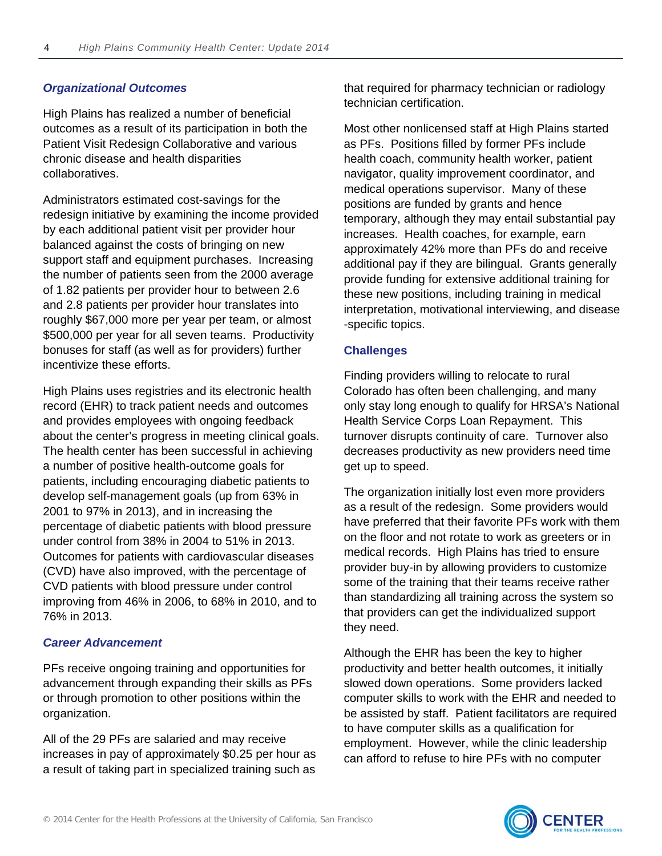## *Organizational Outcomes*

High Plains has realized a number of beneficial outcomes as a result of its participation in both the Patient Visit Redesign Collaborative and various chronic disease and health disparities collaboratives.

Administrators estimated cost-savings for the redesign initiative by examining the income provided by each additional patient visit per provider hour balanced against the costs of bringing on new support staff and equipment purchases. Increasing the number of patients seen from the 2000 average of 1.82 patients per provider hour to between 2.6 and 2.8 patients per provider hour translates into roughly \$67,000 more per year per team, or almost \$500,000 per year for all seven teams. Productivity bonuses for staff (as well as for providers) further incentivize these efforts.

High Plains uses registries and its electronic health record (EHR) to track patient needs and outcomes and provides employees with ongoing feedback about the center's progress in meeting clinical goals. The health center has been successful in achieving a number of positive health-outcome goals for patients, including encouraging diabetic patients to develop self-management goals (up from 63% in 2001 to 97% in 2013), and in increasing the percentage of diabetic patients with blood pressure under control from 38% in 2004 to 51% in 2013. Outcomes for patients with cardiovascular diseases (CVD) have also improved, with the percentage of CVD patients with blood pressure under control improving from 46% in 2006, to 68% in 2010, and to 76% in 2013.

# *Career Advancement*

PFs receive ongoing training and opportunities for advancement through expanding their skills as PFs or through promotion to other positions within the organization.

All of the 29 PFs are salaried and may receive increases in pay of approximately \$0.25 per hour as a result of taking part in specialized training such as that required for pharmacy technician or radiology technician certification.

Most other nonlicensed staff at High Plains started as PFs. Positions filled by former PFs include health coach, community health worker, patient navigator, quality improvement coordinator, and medical operations supervisor. Many of these positions are funded by grants and hence temporary, although they may entail substantial pay increases. Health coaches, for example, earn approximately 42% more than PFs do and receive additional pay if they are bilingual. Grants generally provide funding for extensive additional training for these new positions, including training in medical interpretation, motivational interviewing, and disease -specific topics.

# **Challenges**

Finding providers willing to relocate to rural Colorado has often been challenging, and many only stay long enough to qualify for HRSA's National Health Service Corps Loan Repayment. This turnover disrupts continuity of care. Turnover also decreases productivity as new providers need time get up to speed.

The organization initially lost even more providers as a result of the redesign. Some providers would have preferred that their favorite PFs work with them on the floor and not rotate to work as greeters or in medical records. High Plains has tried to ensure provider buy-in by allowing providers to customize some of the training that their teams receive rather than standardizing all training across the system so that providers can get the individualized support they need.

Although the EHR has been the key to higher productivity and better health outcomes, it initially slowed down operations. Some providers lacked computer skills to work with the EHR and needed to be assisted by staff. Patient facilitators are required to have computer skills as a qualification for employment. However, while the clinic leadership can afford to refuse to hire PFs with no computer